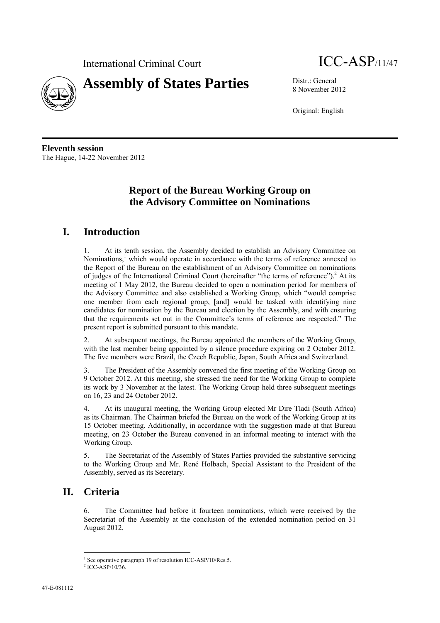



8 November 2012

Original: English

**Eleventh session**  The Hague, 14-22 November 2012

## **Report of the Bureau Working Group on the Advisory Committee on Nominations**

### **I. Introduction**

1. At its tenth session, the Assembly decided to establish an Advisory Committee on Nominations,<sup>1</sup> which would operate in accordance with the terms of reference annexed to the Report of the Bureau on the establishment of an Advisory Committee on nominations of judges of the International Criminal Court (hereinafter "the terms of reference").<sup>2</sup> At its meeting of 1 May 2012, the Bureau decided to open a nomination period for members of the Advisory Committee and also established a Working Group, which "would comprise one member from each regional group, [and] would be tasked with identifying nine candidates for nomination by the Bureau and election by the Assembly, and with ensuring that the requirements set out in the Committee's terms of reference are respected." The present report is submitted pursuant to this mandate.

2. At subsequent meetings, the Bureau appointed the members of the Working Group, with the last member being appointed by a silence procedure expiring on 2 October 2012. The five members were Brazil, the Czech Republic, Japan, South Africa and Switzerland.

3. The President of the Assembly convened the first meeting of the Working Group on 9 October 2012. At this meeting, she stressed the need for the Working Group to complete its work by 3 November at the latest. The Working Group held three subsequent meetings on 16, 23 and 24 October 2012.

4. At its inaugural meeting, the Working Group elected Mr Dire Tladi (South Africa) as its Chairman. The Chairman briefed the Bureau on the work of the Working Group at its 15 October meeting. Additionally, in accordance with the suggestion made at that Bureau meeting, on 23 October the Bureau convened in an informal meeting to interact with the Working Group.

5. The Secretariat of the Assembly of States Parties provided the substantive servicing to the Working Group and Mr. René Holbach, Special Assistant to the President of the Assembly, served as its Secretary.

# **II. Criteria**

 $\overline{a}$ 

6. The Committee had before it fourteen nominations, which were received by the Secretariat of the Assembly at the conclusion of the extended nomination period on 31 August 2012.

<sup>1</sup> See operative paragraph 19 of resolution ICC-ASP/10/Res.5.

 $2$  ICC-ASP/10/36.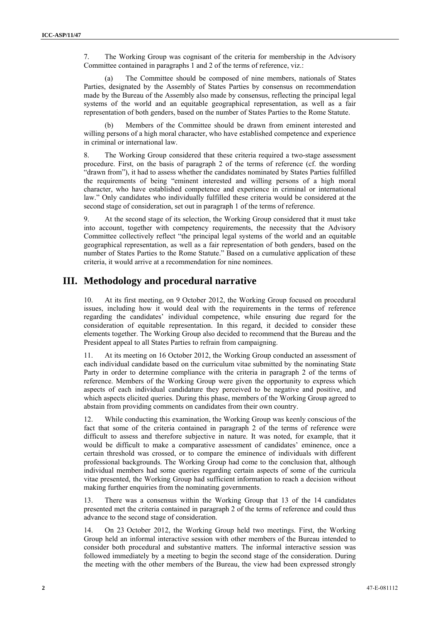7. The Working Group was cognisant of the criteria for membership in the Advisory Committee contained in paragraphs 1 and 2 of the terms of reference, viz.:

(a) The Committee should be composed of nine members, nationals of States Parties, designated by the Assembly of States Parties by consensus on recommendation made by the Bureau of the Assembly also made by consensus, reflecting the principal legal systems of the world and an equitable geographical representation, as well as a fair representation of both genders, based on the number of States Parties to the Rome Statute.

(b) Members of the Committee should be drawn from eminent interested and willing persons of a high moral character, who have established competence and experience in criminal or international law.

8. The Working Group considered that these criteria required a two-stage assessment procedure. First, on the basis of paragraph 2 of the terms of reference (cf. the wording "drawn from"), it had to assess whether the candidates nominated by States Parties fulfilled the requirements of being "eminent interested and willing persons of a high moral character, who have established competence and experience in criminal or international law." Only candidates who individually fulfilled these criteria would be considered at the second stage of consideration, set out in paragraph 1 of the terms of reference.

9. At the second stage of its selection, the Working Group considered that it must take into account, together with competency requirements, the necessity that the Advisory Committee collectively reflect "the principal legal systems of the world and an equitable geographical representation, as well as a fair representation of both genders, based on the number of States Parties to the Rome Statute." Based on a cumulative application of these criteria, it would arrive at a recommendation for nine nominees.

#### **III. Methodology and procedural narrative**

10. At its first meeting, on 9 October 2012, the Working Group focused on procedural issues, including how it would deal with the requirements in the terms of reference regarding the candidates' individual competence, while ensuring due regard for the consideration of equitable representation. In this regard, it decided to consider these elements together. The Working Group also decided to recommend that the Bureau and the President appeal to all States Parties to refrain from campaigning.

11. At its meeting on 16 October 2012, the Working Group conducted an assessment of each individual candidate based on the curriculum vitae submitted by the nominating State Party in order to determine compliance with the criteria in paragraph 2 of the terms of reference. Members of the Working Group were given the opportunity to express which aspects of each individual candidature they perceived to be negative and positive, and which aspects elicited queries. During this phase, members of the Working Group agreed to abstain from providing comments on candidates from their own country.

12. While conducting this examination, the Working Group was keenly conscious of the fact that some of the criteria contained in paragraph 2 of the terms of reference were difficult to assess and therefore subjective in nature. It was noted, for example, that it would be difficult to make a comparative assessment of candidates' eminence, once a certain threshold was crossed, or to compare the eminence of individuals with different professional backgrounds. The Working Group had come to the conclusion that, although individual members had some queries regarding certain aspects of some of the curricula vitae presented, the Working Group had sufficient information to reach a decision without making further enquiries from the nominating governments.

13. There was a consensus within the Working Group that 13 of the 14 candidates presented met the criteria contained in paragraph 2 of the terms of reference and could thus advance to the second stage of consideration.

14. On 23 October 2012, the Working Group held two meetings. First, the Working Group held an informal interactive session with other members of the Bureau intended to consider both procedural and substantive matters. The informal interactive session was followed immediately by a meeting to begin the second stage of the consideration. During the meeting with the other members of the Bureau, the view had been expressed strongly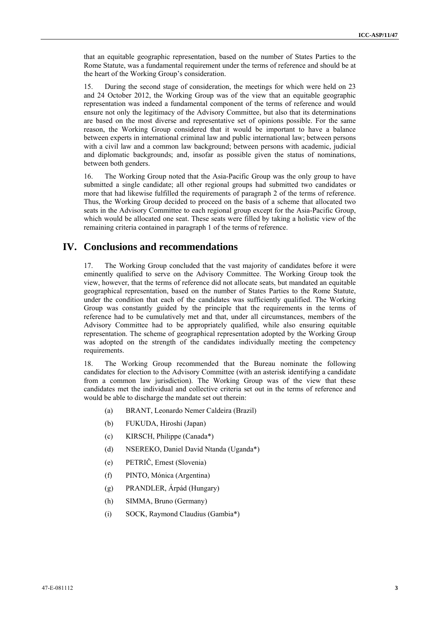that an equitable geographic representation, based on the number of States Parties to the Rome Statute, was a fundamental requirement under the terms of reference and should be at the heart of the Working Group's consideration.

15. During the second stage of consideration, the meetings for which were held on 23 and 24 October 2012, the Working Group was of the view that an equitable geographic representation was indeed a fundamental component of the terms of reference and would ensure not only the legitimacy of the Advisory Committee, but also that its determinations are based on the most diverse and representative set of opinions possible. For the same reason, the Working Group considered that it would be important to have a balance between experts in international criminal law and public international law; between persons with a civil law and a common law background; between persons with academic, judicial and diplomatic backgrounds; and, insofar as possible given the status of nominations, between both genders.

16. The Working Group noted that the Asia-Pacific Group was the only group to have submitted a single candidate; all other regional groups had submitted two candidates or more that had likewise fulfilled the requirements of paragraph 2 of the terms of reference. Thus, the Working Group decided to proceed on the basis of a scheme that allocated two seats in the Advisory Committee to each regional group except for the Asia-Pacific Group, which would be allocated one seat. These seats were filled by taking a holistic view of the remaining criteria contained in paragraph 1 of the terms of reference.

#### **IV. Conclusions and recommendations**

17. The Working Group concluded that the vast majority of candidates before it were eminently qualified to serve on the Advisory Committee. The Working Group took the view, however, that the terms of reference did not allocate seats, but mandated an equitable geographical representation, based on the number of States Parties to the Rome Statute, under the condition that each of the candidates was sufficiently qualified. The Working Group was constantly guided by the principle that the requirements in the terms of reference had to be cumulatively met and that, under all circumstances, members of the Advisory Committee had to be appropriately qualified, while also ensuring equitable representation. The scheme of geographical representation adopted by the Working Group was adopted on the strength of the candidates individually meeting the competency requirements.

18. The Working Group recommended that the Bureau nominate the following candidates for election to the Advisory Committee (with an asterisk identifying a candidate from a common law jurisdiction). The Working Group was of the view that these candidates met the individual and collective criteria set out in the terms of reference and would be able to discharge the mandate set out therein:

- (a) BRANT, Leonardo Nemer Caldeira (Brazil)
- (b) FUKUDA, Hiroshi (Japan)
- (c) KIRSCH, Philippe (Canada\*)
- (d) NSEREKO, Daniel David Ntanda (Uganda\*)
- (e) PETRIČ, Ernest (Slovenia)
- (f) PINTO, Mónica (Argentina)
- (g) PRANDLER, Árpád (Hungary)
- (h) SIMMA, Bruno (Germany)
- (i) SOCK, Raymond Claudius (Gambia\*)